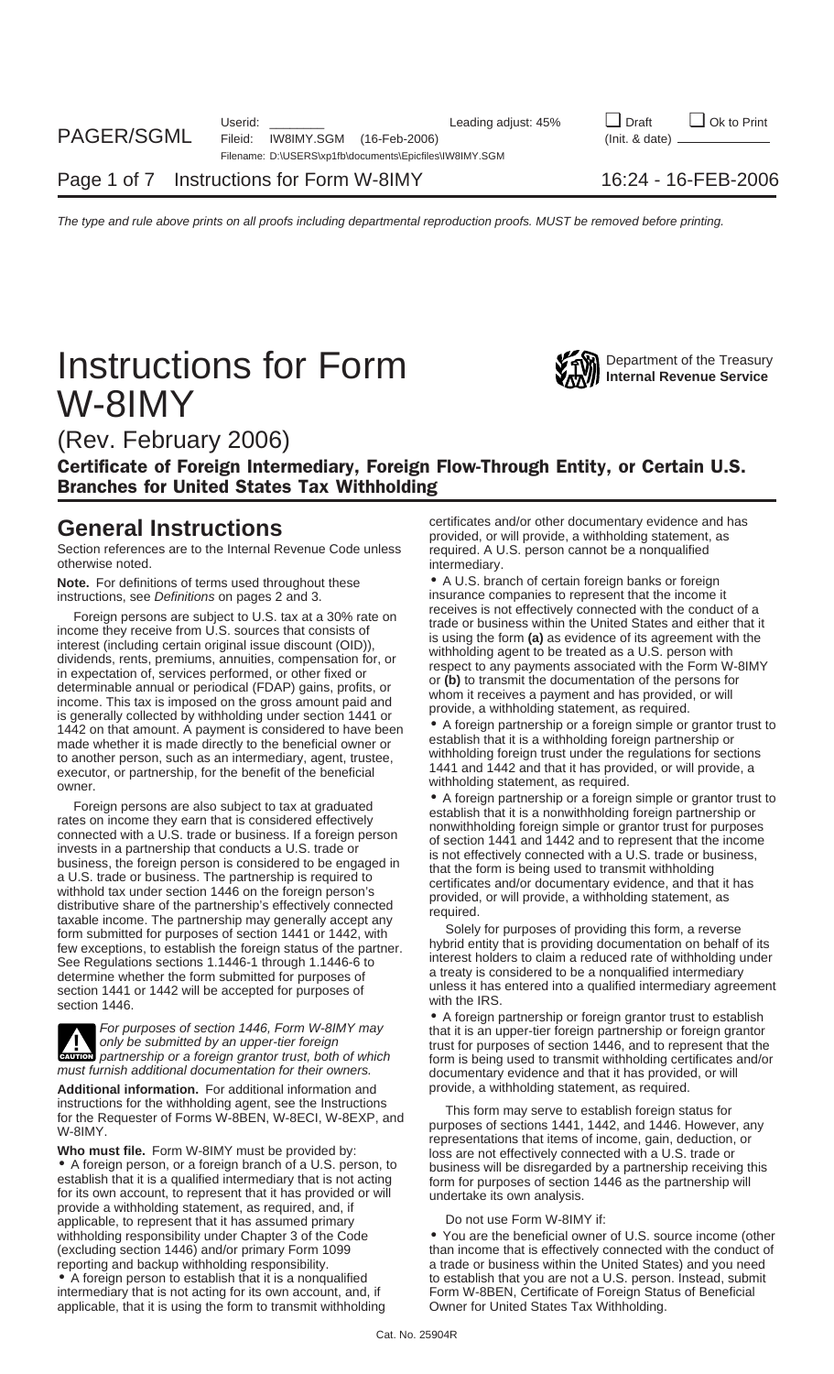# **Instructions for Form WAW** Department of the Treasury **Instructions** W-8IMY



(Rev. February 2006)

Certificate of Foreign Intermediary, Foreign Flow-Through Entity, or Certain U.S. Branches for United States Tax Withholding

Section references are to the Internal Revenue Code unless required. A U.S. person cannot be a nonqualified otherwise noted. The contract of the contract of the intermediary.

**Note.** For definitions of terms used throughout these • A U.S. branch of certain foreign banks or foreign

Foreign persons are subject to U.S. tax at a 30% rate on<br>income they receive from U.S. sources that consists of<br>interest (including certain original issue discount (OID)),<br>dividends, rents, premiums, annuities, compensatio 1442 on that amount. A payment is considered to have been <br>made whether it is made directly to the beneficial owner or<br>to apother person, such as an intermediary agent trustee withholding foreign trust under the regulation

the methanon such as an intermediary, agent, trustiee,<br>
to another person, such as an intermediary, agent, trustiee,<br>
to another person, such as an intermediary, agent, trustiee,<br>
withholding statement, as required.<br>
Some



Additional information. For additional information and

provide a withholding statement, as required, and, if<br>applicable, to represent that it has assumed primary Do not use Form W-8IMY if: reporting and backup withholding responsibility. a trade or business within the United States) and you need

applicable, that it is using the form to transmit withholding Owner for United States Tax Withholding.

**General Instructions** evidence and has *certificates and/or other documentary evidence and has provided, or will provide, a withholding statement, as* 

instructions, see Definitions on pages 2 and 3. insurance companies to represent that the income it<br>
Fereives are subject to U.S. tax at a 200% rate are incores is not effectively connected with the conduct of a

**exuccu** partnership or a foreign grantor trust, both of which form is being used to transmit withholding certificates and/or<br>must furnish additional documentation for their owners. documentary evidence and that it has pro

instructions for the withholding agent, see the Instructions<br>for the Requester of Forms W-8BEN, W-8ECI, W-8EXP, and<br>W-8IMY.<br>Who must file. Form W-8IMY must be provided by:<br><br>• A foreign person, or a foreign branch of a U.S.

withholding responsibility under Chapter 3 of the Code • You are the beneficial owner of U.S. source income (other (excluding section 1446) and/or primary Form 1099 than income that is effectively connected with the conduct of • A foreign person to establish that it is a nonqualified to establish that you are not a U.S. person. Instead, submit intermediary that is not acting for its own account, and, if Form W-8BEN, Certificate of Foreign Status Form W-8BEN, Certificate of Foreign Status of Beneficial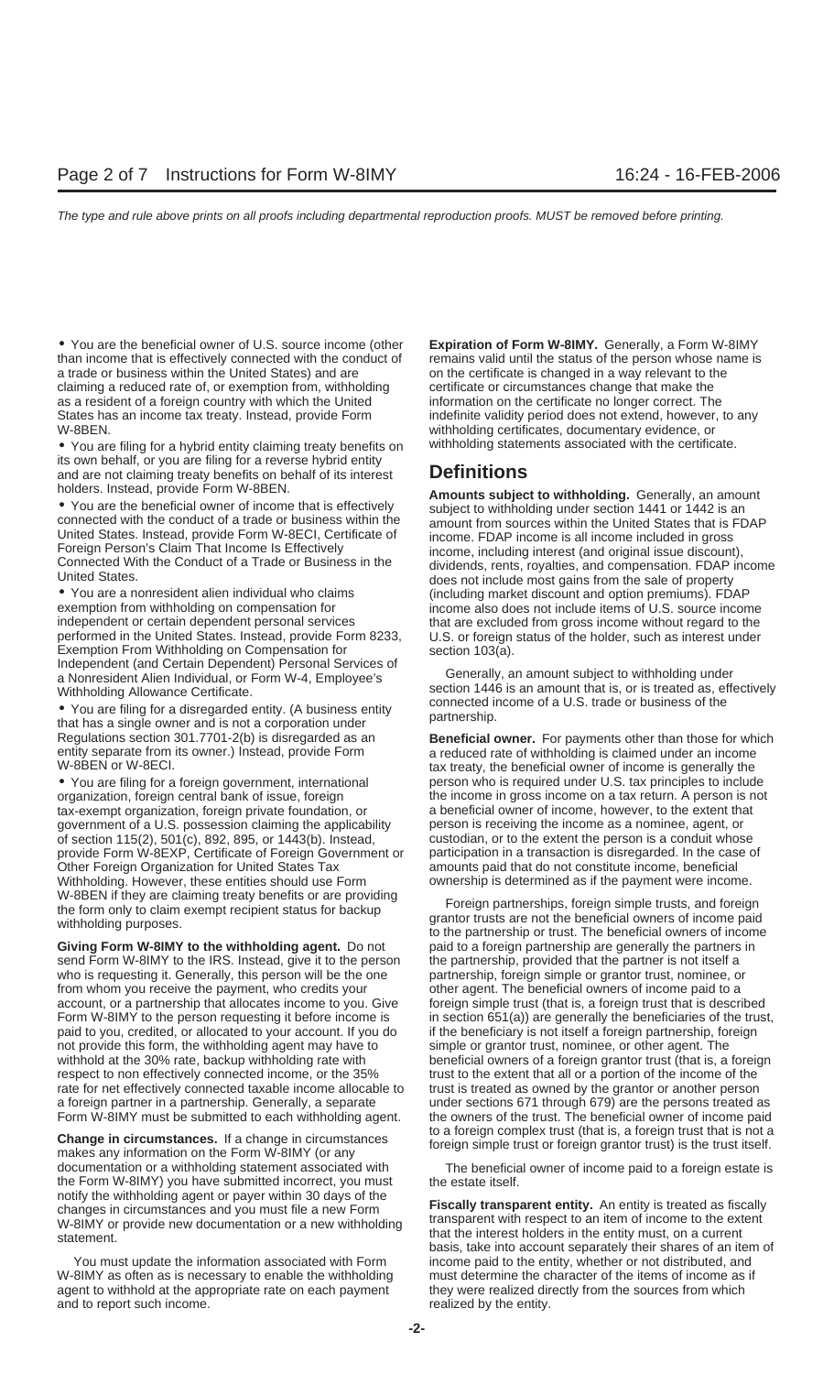• You are the beneficial owner of U.S. source income (other **Expiration of Form W-8IMY**. Generally, a Form W-8IMY<br>than income that is effectively connected with the conduct of remains valid until the status of the person w than income that is effectively connected with the conduct of a trade or business within the United States) and are on the certificate is changed in a way relevant to the claiming a reduced rate of, or exemption from, withholding certificate or circumstances change that make the as a resident of a foreign country with which the United information on the certificate no longer correct. The States has an income tax treaty. Instead, provide Form indefinite validity period does not extend, however, to any W-8BEN. withholding certificates, documentary evidence, or

• You are filing for a hybrid entity claiming treaty benefits on withholding statements associated with the certificate. its own behalf, or you are filing for a reverse hybrid entity and are not claiming treaty benefits on behalf of its interest **Definitions**

exemption from withholding on compensation for income also does not include items of U.S. source income<br>independent or certain dependent personal services in that are excluded from gross income without regard to the performed in the United States. Instead, provide Form 8233, U.S. or foreign status of the holder, such as interest under Exemption From Withholding on Compensation for section 103(a). Independent (and Certain Dependent) Personal Services of Generally, an amount subject to withholding under a Nonresident Alien Individual, or Form W-4, Employee's

• You are filing for a disregarded entity. (A business entity connected in that has a single owner and is not a corporation under partnership. entity separate from its owner.) Instead, provide Form a reduced rate of withholding is claimed under an income<br>W-8BEN or W-8ECI.<br>W-8BEN or W-8ECI.

• You are filing for a foreign government, international person who is required under U.S. tax principles to include organization, foreign central bank of issue, foreign the income in gross income on a tax return. A person is not tax-exempt organization, foreign private foundation, or a beneficial owner of income, however, to the extent that government of a U.S. possession claiming the applicability person is receiving the income as a nominee, agent, or of section 115(2), 501(c), 892, 895, or 1443(b). Instead, custodian, or to the extent the person is a conduit whose provide Form W-8EXP, Certificate of Foreign Government or participation in a transaction is disregarded. In the case of Other Foreign Organization for United States Tax amounts paid that do not constitute income, beneficial<br>Withholding, However, these entities should use Form ownership is determined as if the payment were income. Withholding. However, these entities should use Form W-8BEN if they are claiming treaty benefits or are providing<br>the form only to claim exempt recipient status for backup<br>withholding purposes.<br>to the partnership or trust. The beneficial owners of income paid<br>to the partners

**Giving Form W-8IMY to the withholding agent.** Do not paid to a foreign partnership are generally the partners in send Form W-8IMY to the IRS. Instead, give it to the person the partnership, provided that the partner is not itself a who is requesting it. Generally, this person will be the one partnership, foreign simple or grantor trust, nominee, or from whom you receive the payment, who credits your other agent. The beneficial owners of income paid to a account, or a partnership that allocates income to you. Give foreign simple trust (that is, a foreign trust that is described Form W-8IMY to the person requesting it before income is in section 651(a)) are generally the beneficiaries of the trust, paid to you, credited, or allocated to your account. If you do if the beneficiary is not itself a foreign partnership, foreign not provide this form, the withholding agent may have to simple or grantor trust, nominee, or other agent. The withhold at the 30% rate, backup withholding rate with beneficial owners of a foreign grantor trust (that is, a foreign respect to non effectively connected income, or the 35% trust to the extent that all or a portion of the income of the rate for net effectively connected taxable income allocable to trust is treated as owned by the grantor or another person a foreign partner in a partnership. Generally, a separate under sections 671 through 679) are the persons treated as Form W-8IMY must be submitted to each withholding agent. the owners of the trust. The beneficial owner of income paid

to a foreign complex trust (that is, a foreign trust that is not a<br>makes any information on the Form W-8IMY (or any<br>makes any information on the Form W-8IMY (or any documentation or a withholding statement associated with The beneficial owner of income paid to a foreign estate is the Form W-8IMY) you have submitted incorrect, you must the estate itself. notify the withholding agent or payer within 30 days of the<br>
changes in circumstances and you must file a new Form<br>
W all W ar provide new documentation at a new withholding transparent with respect to an item of income to W-8IMY or provide new documentation or a new withholding<br>that the interest holders in the entity must, on a current

W-8IMY as often as is necessary to enable the withholding must determine the character of the items of income as if agent to withhold at the appropriate rate on each payment they were realized directly from the sources from which and to report such income. The result of the entity. The entity of the entity.

holders. Instead, provide Form W-8BEN.<br>
• You are the beneficial owner of income that is effectively<br>
onnected with the conduct of a trade or business within the<br>
United States. Instead, provide Form W-8ECI, Certificate of United States. Instead, provide Form W-8ECI, Certificate of income. FDAP income is all income included in gross<br>Foreign Person's Claim That Income Is Effectively income, including interest (and original issue discount),<br>Co United States.<br>● You are a nonresident alien individual who claims (including market discount and option premiums). FDAP<br>exemption from withholding on compensation for strate income also does not include items of U.S. sou that are excluded from gross income without regard to the

Withholding Allowance Certificate.<br>
Nou are filing for a discograded on the section 1446 is an amount that is, or is treated as, effectively<br>
connected income of a U.S. trade or business of the

Regulations section 301.7701-2(b) is disregarded as an **Beneficial owner.** For payments other than those for which tax treaty, the beneficial owner of income is generally the

that the interest holders in the entity must, on a current statement.<br>basis, take into account separately their shares of an item of You must update the information associated with Form income paid to the entity, whether or not distributed, and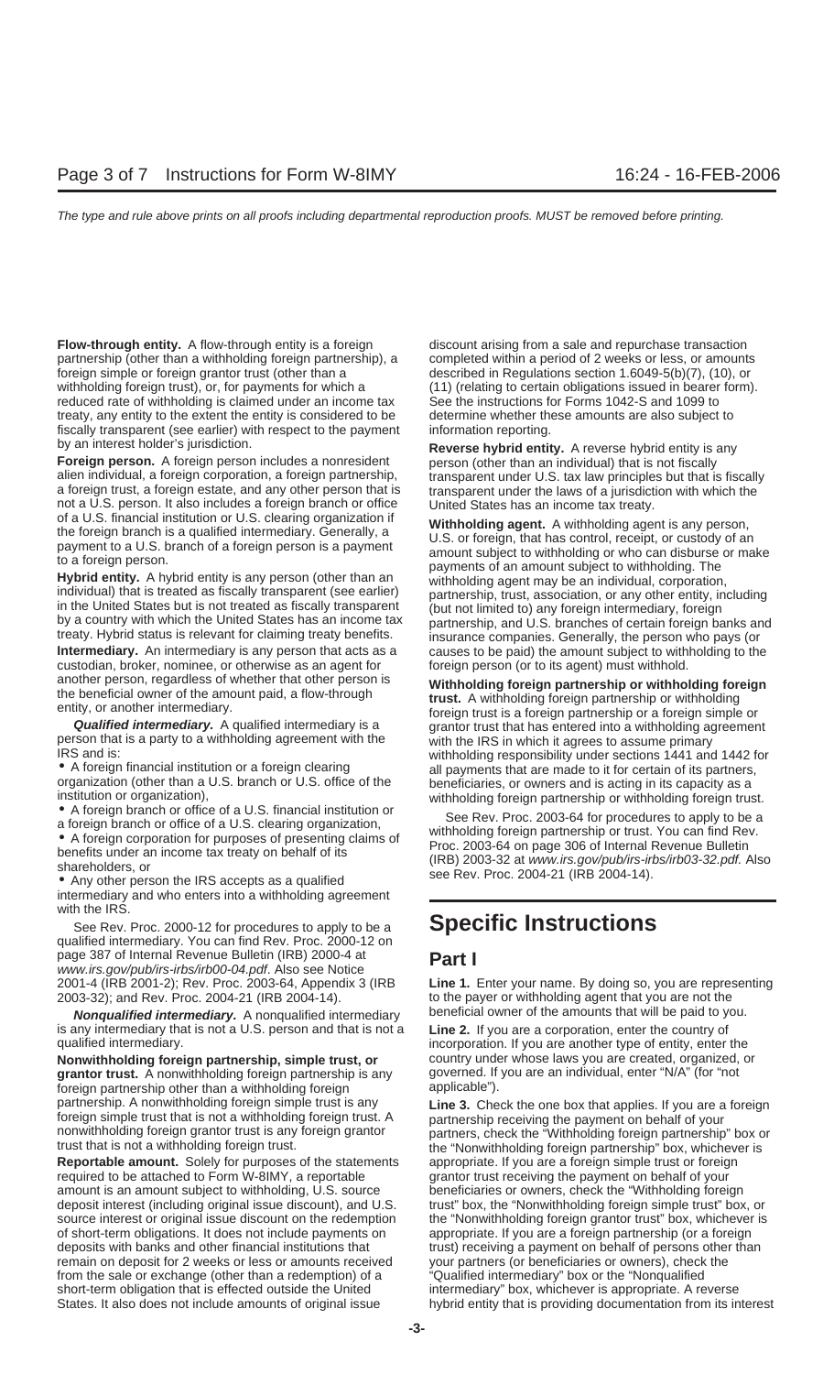**Flow-through entity.** A flow-through entity is a foreign discount arising from a sale and repurchase transaction partnership (other than a withholding foreign partnership), a completed within a period of 2 weeks or less, or amounts foreign simple or foreign grantor trust (other than a described in Regulations section 1.6049-5(b)(7), (10), or withholding foreign trust), or, for payments for which a (11) (relating to certain obligations issued in bearer form). reduced rate of withholding is claimed under an income tax See the instructions for Forms 1042-S and 1099 to treaty, any entity to the extent the entity is considered to be determine whether these amounts are also subject to fiscally transparent (see earlier) with respect to the payment information reporting. by an interest holder's jurisdiction. **Reverse hybrid entity.** A reverse hybrid entity is any

**Foreign person.** A foreign person includes a nonresident person (other than an individual) that is not fiscally alien individual, a foreign corporation, a foreign partnership, transparent under U.S. tax law principles but that is fiscally a foreign trust, a foreign estate, and any other person that is transparent under the laws of a jurisdiction with which the not a U.S. person. It also includes a foreign branch or office United States has an income tax treaty.<br>
of a U.S. financial institution or U.S. clearing organization if withholding agont. A withholding ago

custodian, broker, nominee, or otherwise as an agent for foreign person (or to its agent) must withhold.<br>
another person, regardless of whether that other person is withholding foreign partnership or withhold.

intermediary and who enters into a withholding agreement with the IRS.

See Rev. Proc. 2000-12 for procedures to apply to be a **Specific Instructions** qualified intermediary. You can find Rev. Proc. 2000-12 on page 387 of Internal Revenue Bulletin (IRB) 2000-4 at **Part I** www.irs.gov/pub/irs-irbs/irb00-04.pdf. Also see Notice 2003-32); and Rev. Proc. 2004-21 (IRB 2004-14). to the payer or withholding agent that you are not the

**Nonqualified intermediary.** A nonqualified intermediary beneficial owner of the amounts that will be paid to you. is any intermediary that is not a U.S. person and that is not a **Line 2.** If you are a corporation, enter the country of

**Nonwithholding foreign partnership, simple trust, or** country under whose laws you are created, organized, or **grant or trust.** A nonwithholding foreign partnership is any governed. If you are an individual, enter "N/A" ( grantor trust. A nonwithholding foreign partnership is any foreign partnership other than a withholding foreign applicable").

**Reportable amount.** Solely for purposes of the statements appropriate. If you are a foreign simple trust or foreign required to be attached to Form W-8IMY, a reportable grantor trust receiving the payment on behalf of your amount is an amount subject to withholding, U.S. source beneficiaries or owners, check the "Withholding foreign deposit interest (including original issue discount), and U.S. trust" box, the "Nonwithholding foreign simple trust" box, or source interest or original issue discount on the redemption the "Nonwithholding foreign grantor trust" box, whichever is of short-term obligations. It does not include payments on appropriate. If you are a foreign partnership (or a foreign deposits with banks and other financial institutions that trust) receiving a payment on behalf of persons other than remain on deposit for 2 weeks or less or amounts received your partners (or beneficiaries or owners), check the from the sale or exchange (other than a redemption) of a "Qualified intermediary" box or the "Nonqualified short-term obligation that is effected outside the United intermediary" box, whichever is appropriate. A reverse States. It also does not include amounts of original issue hybrid entity that is providing documentation from its interest

of a U.S. financial institution or U.S. clearing organization if<br>the foreign branch is a qualified intermediary. Generally, a<br>payment to a U.S. branch of a foreign person is a payment<br>to a foreign person.<br>**Hybrid** entity i **Intermediary.** An intermediary is any person that acts as a causes to be paid) the amount subject to withholding to the

another person, regardless of whether that other person is<br>
the beneficial ower of the amount paid, a flow-through<br>
entity, or another intermediary.<br> **Cualified intermediary.** A qualified intermediary is a foreign partner

2001-4 (IRB 2001-2); Rev. Proc. 2003-64, Appendix 3 (IRB **Line 1.** Enter your name. By doing so, you are representing

incorporation. If you are another type of entity, enter the

partnership. A nonwithholding foreign simple trust is any<br>foreign simple trust that is not a withholding foreign trust. A<br>nonwithholding foreign grantor trust is any foreign grantor<br>trust is any foreign grantor<br>frust. ecck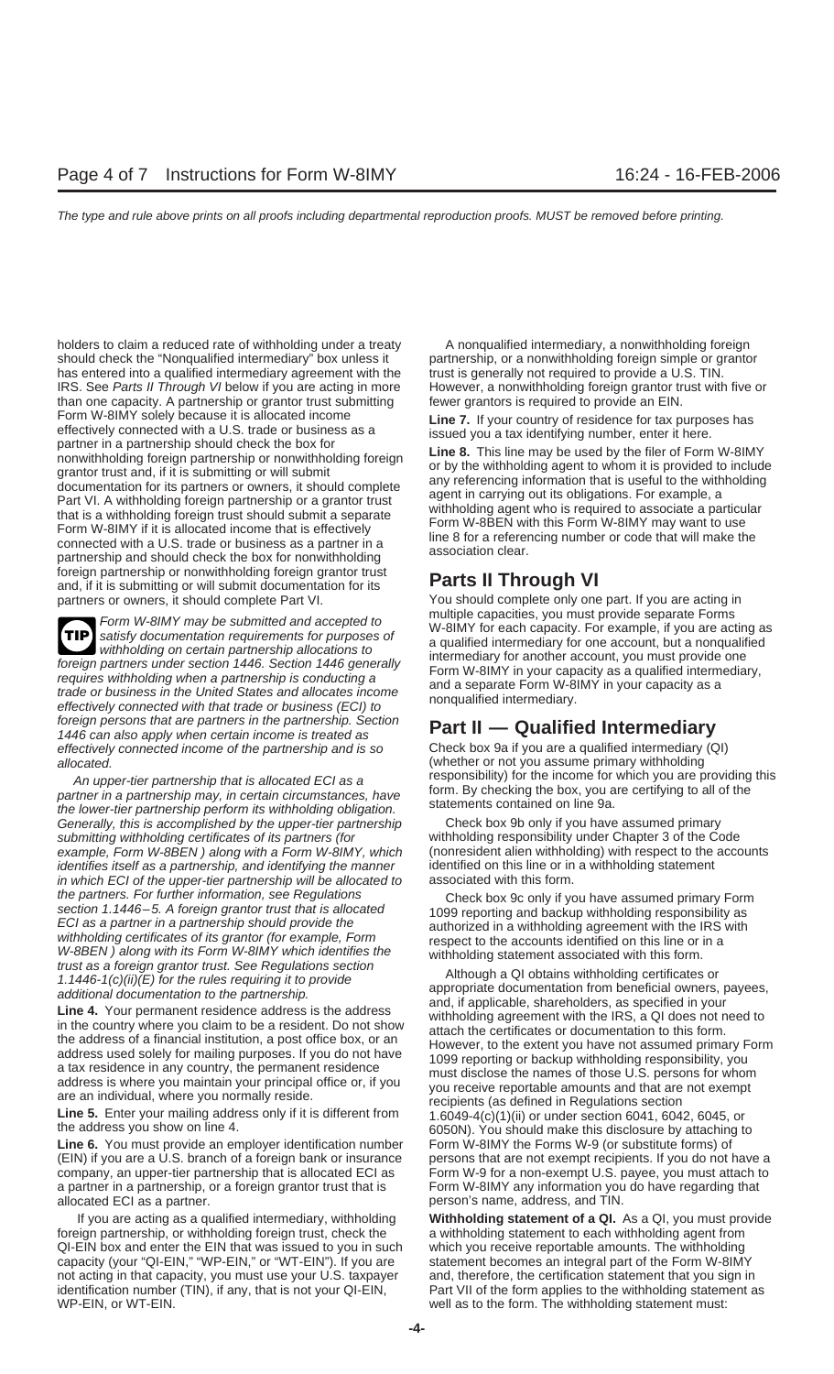should check the "Nonqualified intermediary" box unless it partnership, or a nonwithholding foreign simple or grantor has entered into a qualified intermediary agreement with the trust is generally not required to provide a U.S. TIN. IRS. See Parts II Through VI below if you are acting in more However, a nonwithholding foreign grantor trust with five or than one capacity. A partnership or grantor trust submitting fewer grantors is required to provide an EIN. Form W-8IMY solely because it is allocated income<br>effectively connected with a U.S. trade or business as a<br>partner in a partnership should check the box for<br>nonwithholding foreign partnership or nonwithholding foreign<br>nonw foreign partnership or nonwithholding foreign grantor trust **Parts II Through VI** and, if it is submitting or will submit documentation for its

**TIP** satisfy documentation requirements for purposes of foreign partners under section 1446. Section 1446 generally<br>
requires withholding when a partnership is conducting a<br>
rade or business in the United States and allocates income<br>
effectively connected with that trade or bus foreign persons that are partners in the partnership. Section 1446 can also apply when certain income is treated as **Part II — Qualified Intermediary** effectively connected income of the partnership and is so

An upper-tier partnership that is allocated ECI as a<br>partner in a partnership may, in certain circumstances, have form. By checking the box, you are certifying to all of the<br>the lower-tier partnership perform its withholdi Generally, this is accomplished by the upper-tier partnership Check box 9b only if you have assumed primary submitting withholding certificates of its partners (for withholding responsibility under Chapter 3 of the Code example, Form W-8BEN ) along with a Form W-8IMY, which (nonresident alien withholding) with respect to the accounts identifies itself as a partnership, and identifying the manner identified on this line or in a withholding statement in which ECI of the upper-tier partnership will be allocated to associated with this form.

Line 6. You must provide an employer identification number Form W-8IMY the Forms W-9 (or substitute forms) of (EIN) if you are a U.S. branch of a foreign bank or insurance persons that are not exempt recipients. If you do not have a company, an upper-tier partnership that is allocated ECI as Form W-9 for a non-exempt U.S. payee, you must attach to a partner in a partnership, or a foreign grantor trust that is Form W-8IMY any information you do have regarding that allocated ECI as a partner. person's name, address, and TIN.

foreign partnership, or withholding foreign trust, check the a withholding statement to each withholding agent from QI-EIN box and enter the EIN that was issued to you in such which you receive reportable amounts. The withholding capacity (your "QI-EIN," "WP-EIN," or "WT-EIN"). If you are statement becomes an integral part of the Form W-8IMY not acting in that capacity, you must use your U.S. taxpayer and, therefore, the certification statement that you sign in identification number (TIN), if any, that is not your QI-EIN, Part VII of the form applies to the withholding statement as WP-EIN, or WT-EIN. well as to the form. The withholding statement must:

holders to claim a reduced rate of withholding under a treaty A nonqualified intermediary, a nonwithholding foreign

partners or owners, it should complete Part VI. You should complete only one part. If you are acting in Form W-8IMY may be submitted and accepted to<br>satisfy documentation requirements for purposes of<br>withholding on certain partnership allocations to<br>intermediary for another account, you must provide one<br>intermediary for anot

allocated.<br>An upper tier perther phin that is allocated ECLOS a responsibility) for the income for which you are providing this

the partners. For further information, see Regulations<br>section 1.1446–5. A foreign grantor trust that is allocated<br>section 1.446–6. A foreign grantor trust than is allocated to the accounts identified in a withholding res

If you are acting as a qualified intermediary, withholding **Withholding statement of a QI.** As a QI, you must provide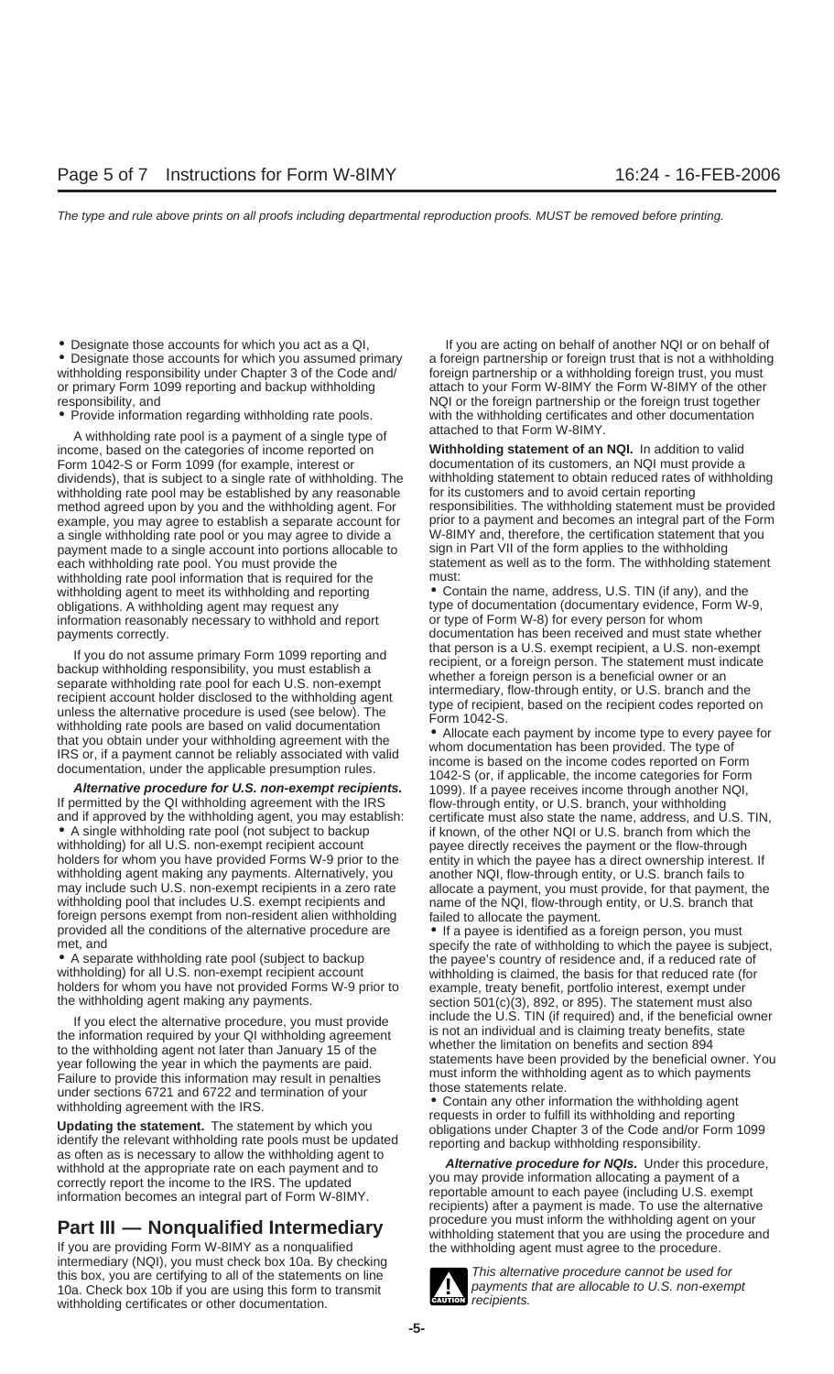● Designate those accounts for which you assumed primary a foreign partnership or foreign trust that is not a withholdin<br>withholding responsibility under Chapter 3 of the Code and/ foreign partnership or a withholding for withholding responsibility under Chapter 3 of the Code and/ or primary Form 1099 reporting and backup withholding attach to your Form W-8IMY the Form W-8IMY of the other responsibility, and  $NQ$  or the foreign partnership or the foreign trust together

A withholding rate pool is a payment of a single type of attached to that Form W-8IMY.<br>ome, based on the categories of income reported on **Withholding statement of an NQI.** In addition to valid income, based on the categories of income reported on Form 1042-S or Form 1099 (for example, interest or documentation of its customers, an NQI must provide a dividends), that is subject to a single rate of withholding. The withholding statement to obtain reduced rates of withholding method agreed upon by you and the withholding agent. For a single withholding rate pool or you may agree to divide a W-8IMY and, therefore, the certification statement that you payment made to a single account into portions allocable to sign in Part VII of the form applies to the withholding each withholding rate pool. You must provide the statement as well as to the form. The withholding statement withholding rate pool information that is required for the must: withholding agent to meet its withholding and reporting • Contain the name, address, U.S. TIN (if any), and the obligations. A withholding agent may request any the proper of documentation (documentary evidence, Form W-9, information reasonably necessary to withhold and report or type of Form W-8) for every person for whom information reasonably necessary to withhold and report

If you do not assume primary Form 1099 reporting and<br>backup withholding responsibility, you must establish a<br>separate withholding rate pool for each U.S. non-exempt<br>recipient, or a foreign person. The statement must indica

**Alternative procedure for U.S. non-exempt recipients.** 1099). If a payee receives income through another NQI, If permitted by the QI withholding agreement with the IRS flow-through entity, or U.S. branch, your withholding agent, you may establish: certificate must also state the name, address, and U and if approved by the withholding agent, you may establish: certificate must also state the name, address, and U.S. TIN, <br>• A single withholding rate pool (not subject to backup if known, of the other NQI or U.S. branch f withholding) for all U.S. non-exempt recipient account payee directly receives the payment or the flow-through holders for whom you have provided Forms W-9 prior to the entity in which the payee has a direct ownership interest. If withholding agent making any payments. Alternatively, you another NQI, flow-through entity, or U.S. branch fails to<br>may include such U.S. non-exempt recipients in a zero rate allocate a payment, you must provide, for that may include such U.S. non-exempt recipients in a zero rate allocate a payment, you must provide, for that payment, the withholding pool that includes U.S. exempt recipients and mame of the NQI, flow-through entity, or U.S. foreign persons exempt from non-resident alien withholding failed to allocate the payment.<br>provided all the conditions of the alternative procedure are  $\bullet$  If a payee is identified as a f provided all the conditions of the alternative procedure are • If a payee is identified as a foreign person, you must<br>specify the rate of withholding to which the payee is sult

• A separate withholding rate pool (subject to backup the payee's country of residence and, if a reduced rate of withholding) for all U.S. non-exempt recipient account withholding is claimed, the basis for that reduced rate (for holders for whom you have not provided Forms W-9 prior to example, treaty benefit, portfolio interest, exempt under the withholding agent making any payments. section 501(c)(3), 892, or 895). The statement must also

If you elect the alternative procedure, you must provide<br>
the information required by your QI withholding agreement<br>
to the withholding agent is not an individual and is claiming theaty benefits, state<br>
whether the limitat

If you are providing Form W-8IMY as a nonqualified the withholding agent must agree to the procedure.<br>intermediary (NQI), you must check box 10a. By checking this box, you are certifying to all of the statements on line<br>10a. Check box 10b if you are using this form to transmit 10a. Check box 10b if you are using this form to transmit withholding certificates or other documentation.

• Designate those accounts for which you act as a QI,<br>• Designate those accounts for which you assumed primary a foreign partnership or foreign trust that is not a withholding • Provide information regarding withholding rate pools. with the withholding certificates and other documentation

withholding rate pool may be established by any reasonable for its customers and to avoid certain reporting<br>method agreed upon by you and the withholding agent. For esponsibilities. The withholding statement must be provid example, you may agree to establish a separate account for prior to a payment and becomes an integral part of the Form

payments correctly.<br>
the section of the correction of the person is a U.S. exempt recipient, a U.S. non-exempt

if known, of the other NQI or U.S. branch from which the name of the NQI, flow-through entity, or U.S. branch that

specify the rate of withholding to which the payee is subject,

**Part III — Nonqualified Intermediary** procedure you must inform the withholding agent on your withholding statement that you are using the procedure and If you are providing Form W-8IMY as a nonqualified the withholding a



**EAUTION** recipients.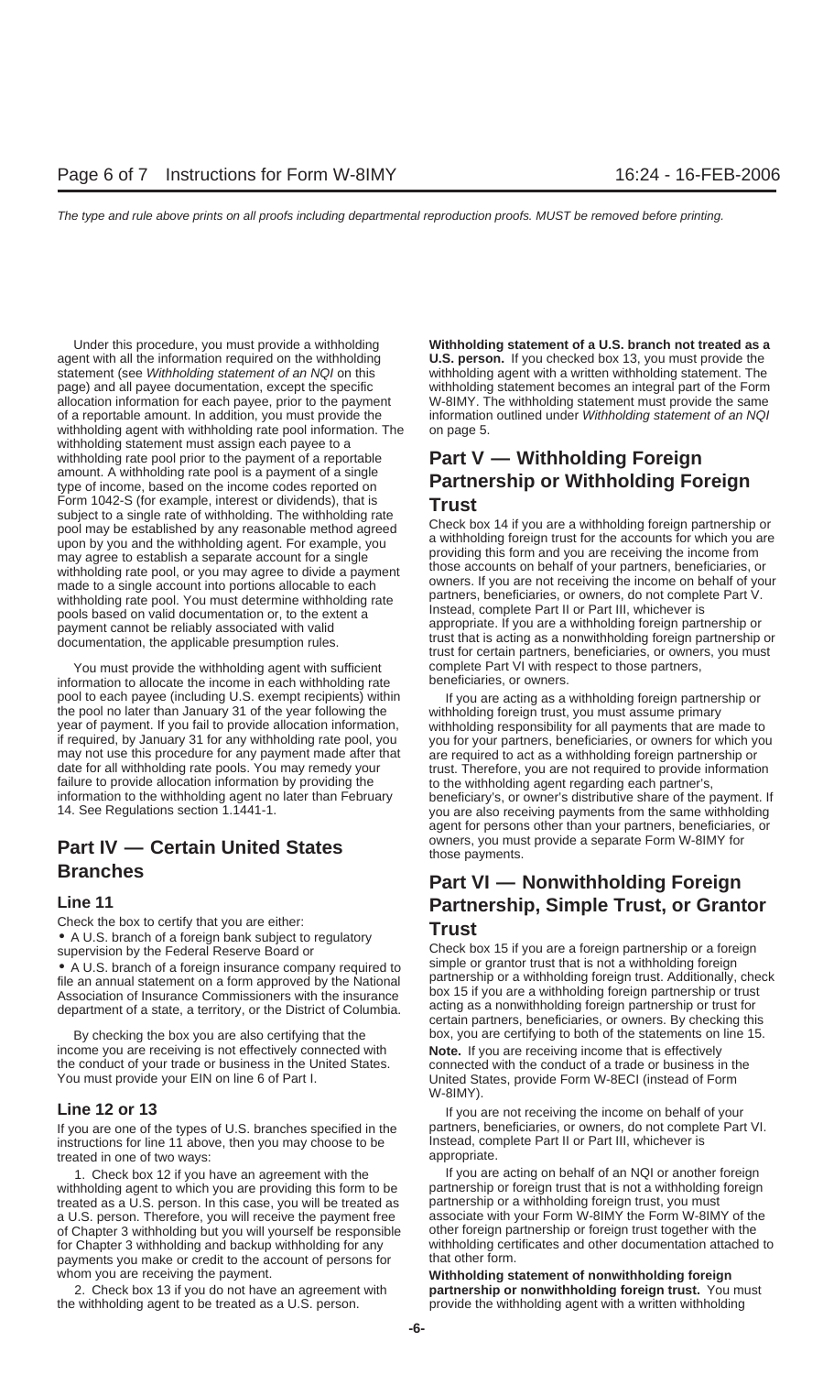agent with all the information required on the withholding **U.S. person.** If you checked box 13, you must provide the statement (see Withholding statement of an NQI on this withholding agent with a written withholding statement. The page) and all payee documentation, except the specific withholding statement becomes an integral part of the Form allocation information for each payee, prior to the payment W-8IMY. The withholding statement must provide the same of a reportable amount. In addition, you must provide the information outlined under Withholding statement of an NQI withholding agent with withholding rate pool information. The on page 5. withholding statement must assign each payee to a withholding rate pool prior to the payment of a reportable<br>amount. A withholding rate pool is a payment of a single<br>**Partnage bin an Mittely of divery Equation** type of income, based on the income codes reported on **Partnership or Withholding Foreign** Form 1042-S (for example, interest or dividends), that is<br>subject to a single rate of withholding. The withholding rate<br>pool may be established by any reasonable method agreed<br>upon by you and the withholding agent. For exa may agree to establish a separate account for a single providing this form and you are receiving the income from<br>withholding rate pool, or you may agree to divide a payment those accounts on behalf of your partners, benefi made to a single account into portions allocable to each owners. If you are not receiving the income on behalf or yo<br>partners, beneficiaries, or owners, do not complete Part V.

You must provide the withholding agent with sufficient complete Part VI with respect to those partners,<br>ormation to allocate the income in each withholding rate beneficiaries, or owners. information to allocate the income in each withholding rate pool to each payee (including U.S. exempt recipients) within If you are acting as a withholding foreign partnership or<br>the pool no later than January 31 of the year following the withholding foreign trust, you must assume year of payment. If you fail to provide allocation information, withholding responsibility for all payments that are made to may not use this procedure for any payment made after that are required to act as a withholding foreign partnership or date for all withholding rate pools. You may remedy your trust. Therefore, you are not required to provide information failure to provide allocation information by providing the to the withholding agent regarding each partner's,

Check the box to certify that you are either: **Trust**<br>• A U.S. branch of a foreign bank subject to regulatory **Trust**<br>supervision by the Federal Reserve Board or **Check box** 

• A U.S. branch of a foreign insurance company required to<br>file an annual statement on a form approved by the National<br>Association of Insurance Commissioners with the insurance<br>department of a state a territory or the Dist

income you are receiving is not effectively connected with **Note.** If you are receiving income that is effectively the conduct of your trade or business in the United States. connected with the conduct of a trade or business in the You must provide your EIN on line 6 of Part I. Chrited States, provide Form W-8ECI (instead of Form

If you are one of the types of U.S. branches specified in the partners, beneficiaries, or owners, do not complete Part VI. instructions for line 11 above, then you may choose to be Instead, complete Part II or Part III, whichever is treated in one of two ways: appropriate.

withholding agent to which you are providing this form to be partnership or foreign trust that is not a withholding foreign<br>treated as a U.S. person. In this case, you will be treated as partnership or a withholding foreig treated as a U.S. person. In this case, you will be treated as partnership or a withholding foreign trust, you must<br>a U.S. person. Therefore, you will receive the payment free associate with your Form W-8IMY the Form W-8IM a U.S. person. Therefore, you will receive the payment free associate with your Form W-8IMY the Form W-8IMY of the of Chapter with the independent with the Shapter with the solid Chapter 3 withholding but you will yourself of Chapter 3 withholding but you will yourself be responsible for Chapter 3 withholding and backup withholding for any withholding certificates and other documentation attached to payments you make or credit to the account of persons for that other form. payments you make or credit to the account of persons for. whom you are receiving the payment. **Whom is a statement of nonwithholding foreign** 

the withholding agent to be treated as a U.S. person. provide the withholding agent with a written withholding

Under this procedure, you must provide a withholding **Withholding statement of a U.S. branch not treated as a**

withholding rate pool, or you may agree to divide a payment<br>made to a single account into portions allocable to each owners. If you are not receiving the income on behalf of your withholding rate pool. You must determine withholding rate<br>pools based on valid documentation or, to the extent a<br>payment cannot be reliably associated with valid<br>documentation, the applicable presumption rules.<br>documentat

withholding foreign trust, you must assume primary if required, by January 31 for any withholding rate pool, you you for your partners, beneficiaries, or owners for which you information to the withholding agent no later than February beneficiary's, or owner's distributive share of the payment. If<br>14. See Regulations section 1.1441-1. you are also receiving payments from the same withholding agent for persons other than your partners, beneficiaries, or **Part IV — Certain United States** owners, you must provide a separate Form W-8IMY for those payments.

## **Branches Part VI — Nonwithholding Foreign Line 11 Conserverse Partnership, Simple Trust, or Grantor**<br>Check the box to certify that you are either:<br> **Truct**

Check box 15 if you are a foreign partnership or a foreign simple or grantor trust that is not a withholding foreign department of a state, a territory, or the District of Columbia. acting as a nonwithholding foreign partnership or trust for<br>certain partners, beneficiaries, or owners. By checking this By checking the box you are also certifying that the box, you are certifying to both of the statements on line 15. W-8IMY).

**Line 12 or 13** If you are not receiving the income on behalf of your

1. Check box 12 if you have an agreement with the If you are acting on behalf of an NQI or another foreign

2. Check box 13 if you do not have an agreement with **partnership or nonwithholding foreign trust.** You must